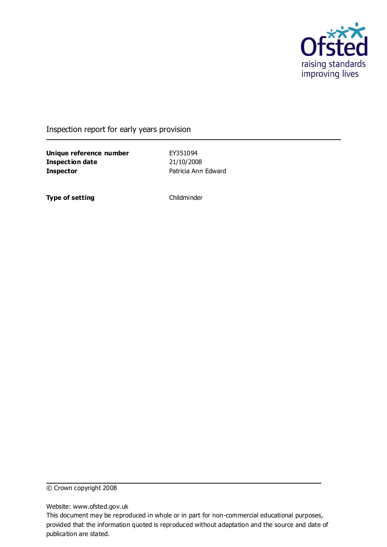

Inspection report for early years provision

**Unique reference number** EY351094 **Inspection date** 21/10/2008 **Inspector Patricia Ann Edward** 

**Type of setting** Childminder

© Crown copyright 2008

Website: www.ofsted.gov.uk

This document may be reproduced in whole or in part for non-commercial educational purposes, provided that the information quoted is reproduced without adaptation and the source and date of publication are stated.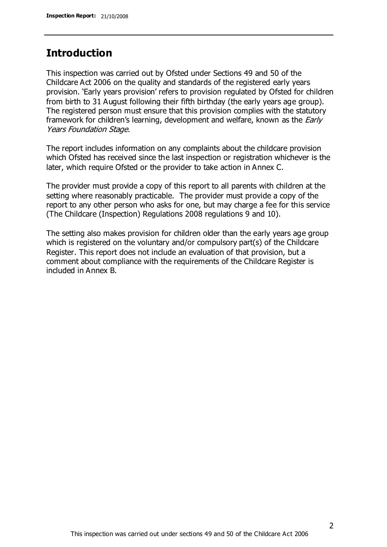# **Introduction**

This inspection was carried out by Ofsted under Sections 49 and 50 of the Childcare Act 2006 on the quality and standards of the registered early years provision. 'Early years provision' refers to provision regulated by Ofsted for children from birth to 31 August following their fifth birthday (the early years age group). The registered person must ensure that this provision complies with the statutory framework for children's learning, development and welfare, known as the *Early* Years Foundation Stage.

The report includes information on any complaints about the childcare provision which Ofsted has received since the last inspection or registration whichever is the later, which require Ofsted or the provider to take action in Annex C.

The provider must provide a copy of this report to all parents with children at the setting where reasonably practicable. The provider must provide a copy of the report to any other person who asks for one, but may charge a fee for this service (The Childcare (Inspection) Regulations 2008 regulations 9 and 10).

The setting also makes provision for children older than the early years age group which is registered on the voluntary and/or compulsory part(s) of the Childcare Register. This report does not include an evaluation of that provision, but a comment about compliance with the requirements of the Childcare Register is included in Annex B.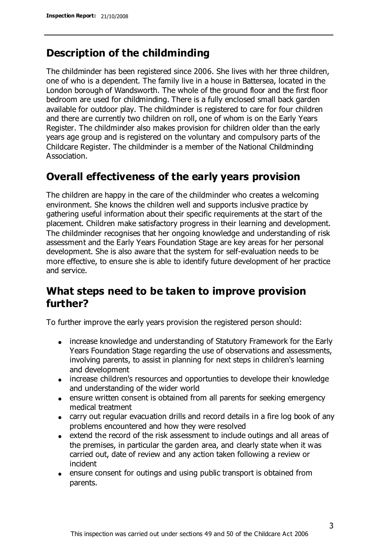# **Description of the childminding**

The childminder has been registered since 2006. She lives with her three children, one of who is a dependent. The family live in a house in Battersea, located in the London borough of Wandsworth. The whole of the ground floor and the first floor bedroom are used for childminding. There is a fully enclosed small back garden available for outdoor play. The childminder is registered to care for four children and there are currently two children on roll, one of whom is on the Early Years Register. The childminder also makes provision for children older than the early years age group and is registered on the voluntary and compulsory parts of the Childcare Register. The childminder is a member of the National Childminding Association.

## **Overall effectiveness of the early years provision**

The children are happy in the care of the childminder who creates a welcoming environment. She knows the children well and supports inclusive practice by gathering useful information about their specific requirements at the start of the placement. Children make satisfactory progress in their learning and development. The childminder recognises that her ongoing knowledge and understanding of risk assessment and the Early Years Foundation Stage are key areas for her personal development. She is also aware that the system for self-evaluation needs to be more effective, to ensure she is able to identify future development of her practice and service.

# **What steps need to be taken to improve provision further?**

To further improve the early years provision the registered person should:

- increase knowledge and understanding of Statutory Framework for the Early Years Foundation Stage regarding the use of observations and assessments, involving parents, to assist in planning for next steps in children's learning and development
- increase children's resources and opportunties to develope their knowledge and understanding of the wider world
- ensure written consent is obtained from all parents for seeking emergency medical treatment
- carry out regular evacuation drills and record details in a fire log book of any problems encountered and how they were resolved
- extend the record of the risk assessment to include outings and all areas of the premises, in particular the garden area, and clearly state when it was carried out, date of review and any action taken following a review or incident
- ensure consent for outings and using public transport is obtained from parents.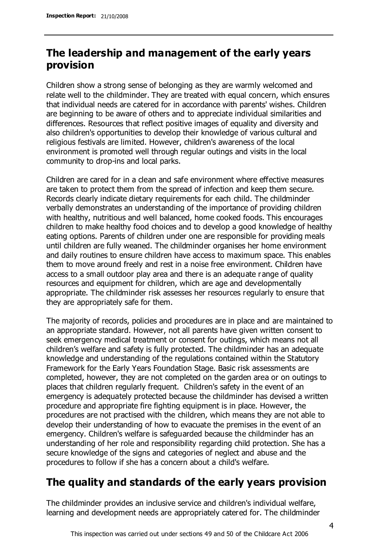# **The leadership and management of the early years provision**

Children show a strong sense of belonging as they are warmly welcomed and relate well to the childminder. They are treated with equal concern, which ensures that individual needs are catered for in accordance with parents' wishes. Children are beginning to be aware of others and to appreciate individual similarities and differences. Resources that reflect positive images of equality and diversity and also children's opportunities to develop their knowledge of various cultural and religious festivals are limited. However, children's awareness of the local environment is promoted well through regular outings and visits in the local community to drop-ins and local parks.

Children are cared for in a clean and safe environment where effective measures are taken to protect them from the spread of infection and keep them secure. Records clearly indicate dietary requirements for each child. The childminder verbally demonstrates an understanding of the importance of providing children with healthy, nutritious and well balanced, home cooked foods. This encourages children to make healthy food choices and to develop a good knowledge of healthy eating options. Parents of children under one are responsible for providing meals until children are fully weaned. The childminder organises her home environment and daily routines to ensure children have access to maximum space. This enables them to move around freely and rest in a noise free environment. Children have access to a small outdoor play area and there is an adequate range of quality resources and equipment for children, which are age and developmentally appropriate. The childminder risk assesses her resources regularly to ensure that they are appropriately safe for them.

The majority of records, policies and procedures are in place and are maintained to an appropriate standard. However, not all parents have given written consent to seek emergency medical treatment or consent for outings, which means not all children's welfare and safety is fully protected. The childminder has an adequate knowledge and understanding of the regulations contained within the Statutory Framework for the Early Years Foundation Stage. Basic risk assessments are completed, however, they are not completed on the garden area or on outings to places that children regularly frequent. Children's safety in the event of an emergency is adequately protected because the childminder has devised a written procedure and appropriate fire fighting equipment is in place. However, the procedures are not practised with the children, which means they are not able to develop their understanding of how to evacuate the premises in the event of an emergency. Children's welfare is safeguarded because the childminder has an understanding of her role and responsibility regarding child protection. She has a secure knowledge of the signs and categories of neglect and abuse and the procedures to follow if she has a concern about a child's welfare.

# **The quality and standards of the early years provision**

The childminder provides an inclusive service and children's individual welfare, learning and development needs are appropriately catered for. The childminder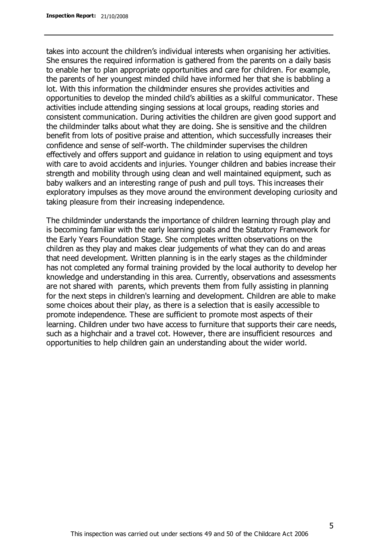takes into account the children's individual interests when organising her activities. She ensures the required information is gathered from the parents on a daily basis to enable her to plan appropriate opportunities and care for children. For example, the parents of her youngest minded child have informed her that she is babbling a lot. With this information the childminder ensures she provides activities and opportunities to develop the minded child's abilities as a skilful communicator. These activities include attending singing sessions at local groups, reading stories and consistent communication. During activities the children are given good support and the childminder talks about what they are doing. She is sensitive and the children benefit from lots of positive praise and attention, which successfully increases their confidence and sense of self-worth. The childminder supervises the children effectively and offers support and guidance in relation to using equipment and toys with care to avoid accidents and injuries. Younger children and babies increase their strength and mobility through using clean and well maintained equipment, such as baby walkers and an interesting range of push and pull toys. This increases their exploratory impulses as they move around the environment developing curiosity and taking pleasure from their increasing independence.

The childminder understands the importance of children learning through play and is becoming familiar with the early learning goals and the Statutory Framework for the Early Years Foundation Stage. She completes written observations on the children as they play and makes clear judgements of what they can do and areas that need development. Written planning is in the early stages as the childminder has not completed any formal training provided by the local authority to develop her knowledge and understanding in this area. Currently, observations and assessments are not shared with parents, which prevents them from fully assisting in planning for the next steps in children's learning and development. Children are able to make some choices about their play, as there is a selection that is easily accessible to promote independence. These are sufficient to promote most aspects of their learning. Children under two have access to furniture that supports their care needs, such as a highchair and a travel cot. However, there are insufficient resources and opportunities to help children gain an understanding about the wider world.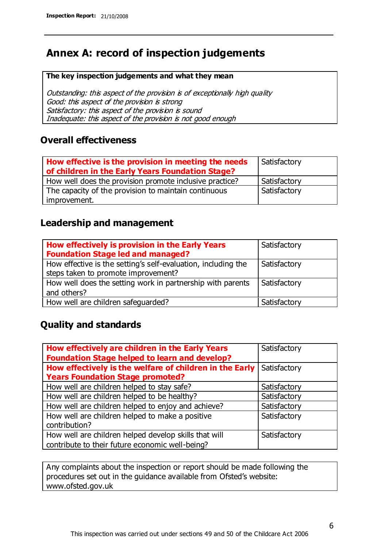# **Annex A: record of inspection judgements**

#### **The key inspection judgements and what they mean**

Outstanding: this aspect of the provision is of exceptionally high quality Good: this aspect of the provision is strong Satisfactory: this aspect of the provision is sound Inadequate: this aspect of the provision is not good enough

### **Overall effectiveness**

| How effective is the provision in meeting the needs<br>of children in the Early Years Foundation Stage? | Satisfactory |
|---------------------------------------------------------------------------------------------------------|--------------|
| How well does the provision promote inclusive practice?                                                 | Satisfactory |
| The capacity of the provision to maintain continuous                                                    | Satisfactory |
| improvement.                                                                                            |              |

### **Leadership and management**

| How effectively is provision in the Early Years<br><b>Foundation Stage led and managed?</b>          | Satisfactory |
|------------------------------------------------------------------------------------------------------|--------------|
| How effective is the setting's self-evaluation, including the<br>steps taken to promote improvement? | Satisfactory |
| How well does the setting work in partnership with parents<br>and others?                            | Satisfactory |
| How well are children safeguarded?                                                                   | Satisfactory |

### **Quality and standards**

| How effectively are children in the Early Years         | Satisfactory |
|---------------------------------------------------------|--------------|
| <b>Foundation Stage helped to learn and develop?</b>    |              |
| How effectively is the welfare of children in the Early | Satisfactory |
| <b>Years Foundation Stage promoted?</b>                 |              |
| How well are children helped to stay safe?              | Satisfactory |
| How well are children helped to be healthy?             | Satisfactory |
| How well are children helped to enjoy and achieve?      | Satisfactory |
| How well are children helped to make a positive         | Satisfactory |
| contribution?                                           |              |
| How well are children helped develop skills that will   | Satisfactory |
| contribute to their future economic well-being?         |              |

Any complaints about the inspection or report should be made following the procedures set out in the guidance available from Ofsted's website: www.ofsted.gov.uk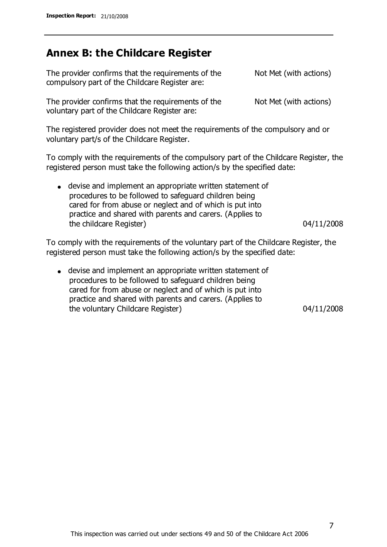# **Annex B: the Childcare Register**

| The provider confirms that the requirements of the<br>compulsory part of the Childcare Register are:                           | Not Met (with actions) |
|--------------------------------------------------------------------------------------------------------------------------------|------------------------|
| The provider confirms that the requirements of the<br>voluntary part of the Childcare Register are:                            | Not Met (with actions) |
| The registered provider does not meet the requirements of the compulsory and or<br>voluntary part/s of the Childcare Register. |                        |

To comply with the requirements of the compulsory part of the Childcare Register, the registered person must take the following action/s by the specified date:

devise and implement an appropriate written statement of procedures to be followed to safeguard children being cared for from abuse or neglect and of which is put into practice and shared with parents and carers. (Applies to the childcare Register) and the childcare Register of the childcare Register of the childcare Register of the child

To comply with the requirements of the voluntary part of the Childcare Register, the registered person must take the following action/s by the specified date:

devise and implement an appropriate written statement of procedures to be followed to safeguard children being cared for from abuse or neglect and of which is put into practice and shared with parents and carers. (Applies to the voluntary Childcare Register) 04/11/2008